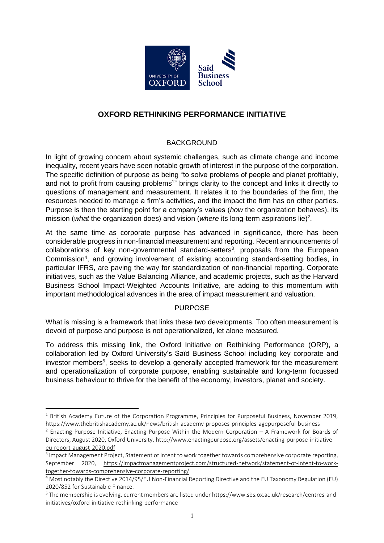

# **OXFORD RETHINKING PERFORMANCE INITIATIVE**

## BACKGROUND

In light of growing concern about systemic challenges, such as climate change and income inequality, recent years have seen notable growth of interest in the purpose of the corporation. The specific definition of purpose as being "to solve problems of people and planet profitably, and not to profit from causing problems<sup>1</sup>" brings clarity to the concept and links it directly to questions of management and measurement. It relates it to the boundaries of the firm, the resources needed to manage a firm's activities, and the impact the firm has on other parties. Purpose is then the starting point for a company's values (*how* the organization behaves), its mission (what the organization does) and vision (where its long-term aspirations lie)<sup>2</sup>.

At the same time as corporate purpose has advanced in significance, there has been considerable progress in non-financial measurement and reporting. Recent announcements of  $collaborations$  of key non-governmental standard-setters<sup>3</sup>, proposals from the European Commission<sup>4</sup>, and growing involvement of existing accounting standard-setting bodies, in particular IFRS, are paving the way for standardization of non-financial reporting. Corporate initiatives, such as the Value Balancing Alliance, and academic projects, such as the Harvard Business School Impact-Weighted Accounts Initiative, are adding to this momentum with important methodological advances in the area of impact measurement and valuation.

## **PURPOSE**

What is missing is a framework that links these two developments. Too often measurement is devoid of purpose and purpose is not operationalized, let alone measured.

To address this missing link, the Oxford Initiative on Rethinking Performance (ORP), a collaboration led by Oxford University's Saïd Business School including key corporate and investor members<sup>5</sup>, seeks to develop a generally accepted framework for the measurement and operationalization of corporate purpose, enabling sustainable and long-term focussed business behaviour to thrive for the benefit of the economy, investors, planet and society.

 $1$  British Academy Future of the Corporation Programme, Principles for Purposeful Business, November 2019, <https://www.thebritishacademy.ac.uk/news/british-academy-proposes-principles-agepurposeful-business>

 $<sup>2</sup>$  Enacting Purpose Initiative, Enacting Purpose Within the Modern Corporation – A Framework for Boards of</sup> Directors, August 2020, Oxford University[, http://www.enactingpurpose.org/assets/enacting-purpose-initiative--](http://www.enactingpurpose.org/assets/enacting-purpose-initiative---eu-report-august-2020.pdf) [eu-report-august-2020.pdf](http://www.enactingpurpose.org/assets/enacting-purpose-initiative---eu-report-august-2020.pdf)

<sup>&</sup>lt;sup>3</sup> Impact Management Project, Statement of intent to work together towards comprehensive corporate reporting, September 2020, [https://impactmanagementproject.com/structured-network/statement-of-intent-to-work](https://impactmanagementproject.com/structured-network/statement-of-intent-to-work-together-towards-comprehensive-corporate-reporting/)[together-towards-comprehensive-corporate-reporting/](https://impactmanagementproject.com/structured-network/statement-of-intent-to-work-together-towards-comprehensive-corporate-reporting/)

<sup>4</sup> Most notably the Directive 2014/95/EU Non-Financial Reporting Directive and the EU Taxonomy Regulation (EU) 2020/852 for Sustainable Finance.

<sup>5</sup> The membership is evolving, current members are listed under [https://www.sbs.ox.ac.uk/research/centres-and](https://www.sbs.ox.ac.uk/research/centres-and-initiatives/oxford-initiative-rethinking-performance)[initiatives/oxford-initiative-rethinking-performance](https://www.sbs.ox.ac.uk/research/centres-and-initiatives/oxford-initiative-rethinking-performance)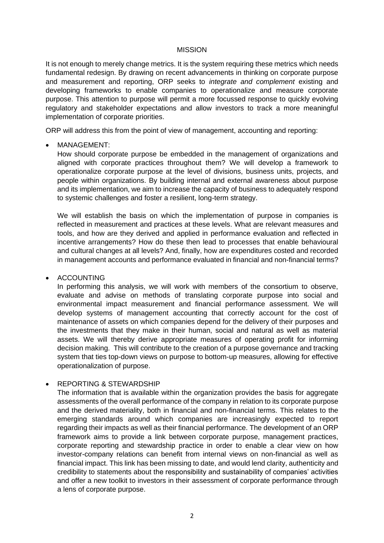#### **MISSION**

It is not enough to merely change metrics. It is the system requiring these metrics which needs fundamental redesign. By drawing on recent advancements in thinking on corporate purpose and measurement and reporting, ORP seeks to *integrate and complement* existing and developing frameworks to enable companies to operationalize and measure corporate purpose. This attention to purpose will permit a more focussed response to quickly evolving regulatory and stakeholder expectations and allow investors to track a more meaningful implementation of corporate priorities.

ORP will address this from the point of view of management, accounting and reporting:

• MANAGEMENT:

How should corporate purpose be embedded in the management of organizations and aligned with corporate practices throughout them? We will develop a framework to operationalize corporate purpose at the level of divisions, business units, projects, and people within organizations. By building internal and external awareness about purpose and its implementation, we aim to increase the capacity of business to adequately respond to systemic challenges and foster a resilient, long-term strategy.

We will establish the basis on which the implementation of purpose in companies is reflected in measurement and practices at these levels. What are relevant measures and tools, and how are they derived and applied in performance evaluation and reflected in incentive arrangements? How do these then lead to processes that enable behavioural and cultural changes at all levels? And, finally, how are expenditures costed and recorded in management accounts and performance evaluated in financial and non-financial terms?

• ACCOUNTING

In performing this analysis, we will work with members of the consortium to observe, evaluate and advise on methods of translating corporate purpose into social and environmental impact measurement and financial performance assessment. We will develop systems of management accounting that correctly account for the cost of maintenance of assets on which companies depend for the delivery of their purposes and the investments that they make in their human, social and natural as well as material assets. We will thereby derive appropriate measures of operating profit for informing decision making. This will contribute to the creation of a purpose governance and tracking system that ties top-down views on purpose to bottom-up measures, allowing for effective operationalization of purpose.

## • REPORTING & STEWARDSHIP

The information that is available within the organization provides the basis for aggregate assessments of the overall performance of the company in relation to its corporate purpose and the derived materiality, both in financial and non-financial terms. This relates to the emerging standards around which companies are increasingly expected to report regarding their impacts as well as their financial performance. The development of an ORP framework aims to provide a link between corporate purpose, management practices, corporate reporting and stewardship practice in order to enable a clear view on how investor-company relations can benefit from internal views on non-financial as well as financial impact. This link has been missing to date, and would lend clarity, authenticity and credibility to statements about the responsibility and sustainability of companies' activities and offer a new toolkit to investors in their assessment of corporate performance through a lens of corporate purpose.